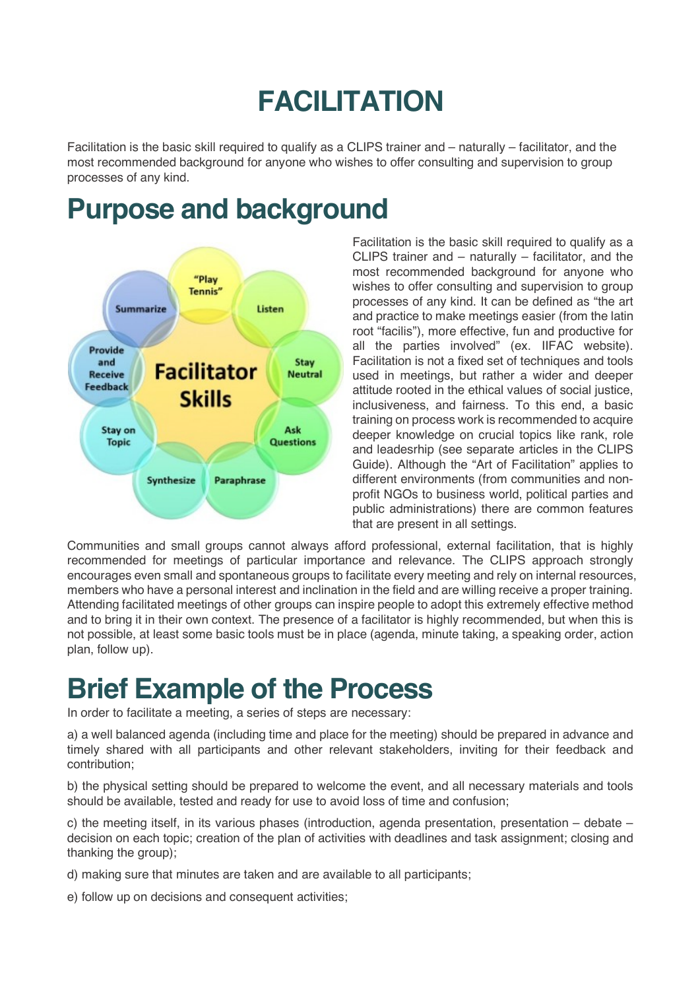# **FACILITATION**

Facilitation is the basic skill required to qualify as a CLIPS trainer and – naturally – facilitator, and the most recommended background for anyone who wishes to offer consulting and supervision to group processes of any kind.

#### **Purpose and background**



Facilitation is the basic skill required to qualify as a CLIPS trainer and – naturally – facilitator, and the most recommended background for anyone who wishes to offer consulting and supervision to group processes of any kind. It can be defined as "the art and practice to make meetings easier (from the latin root "facilis"), more effective, fun and productive for all the parties involved" (ex. IIFAC website). Facilitation is not a fixed set of techniques and tools used in meetings, but rather a wider and deeper attitude rooted in the ethical values of social justice, inclusiveness, and fairness. To this end, a basic training on process work is recommended to acquire deeper knowledge on crucial topics like rank, role and leadesrhip (see separate articles in the CLIPS Guide). Although the "Art of Facilitation" applies to different environments (from communities and nonprofit NGOs to business world, political parties and public administrations) there are common features that are present in all settings.

Communities and small groups cannot always afford professional, external facilitation, that is highly recommended for meetings of particular importance and relevance. The CLIPS approach strongly encourages even small and spontaneous groups to facilitate every meeting and rely on internal resources, members who have a personal interest and inclination in the field and are willing receive a proper training. Attending facilitated meetings of other groups can inspire people to adopt this extremely effective method and to bring it in their own context. The presence of a facilitator is highly recommended, but when this is not possible, at least some basic tools must be in place (agenda, minute taking, a speaking order, action plan, follow up).

#### **Brief Example of the Process**

In order to facilitate a meeting, a series of steps are necessary:

a) a well balanced agenda (including time and place for the meeting) should be prepared in advance and timely shared with all participants and other relevant stakeholders, inviting for their feedback and contribution;

b) the physical setting should be prepared to welcome the event, and all necessary materials and tools should be available, tested and ready for use to avoid loss of time and confusion;

c) the meeting itself, in its various phases (introduction, agenda presentation, presentation – debate – decision on each topic; creation of the plan of activities with deadlines and task assignment; closing and thanking the group);

d) making sure that minutes are taken and are available to all participants;

e) follow up on decisions and consequent activities;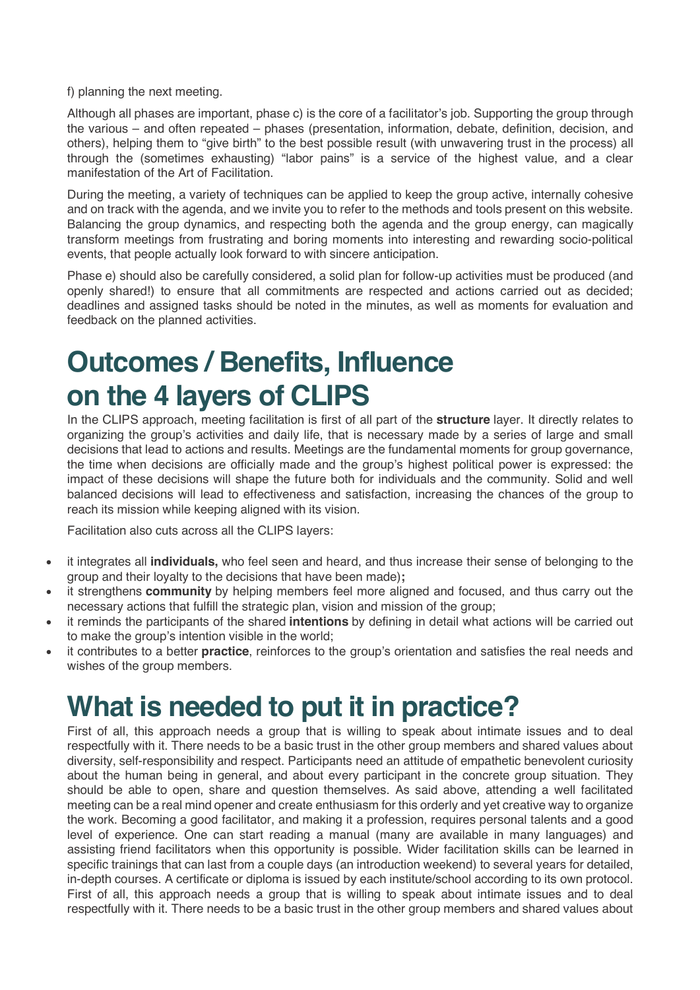f) planning the next meeting.

Although all phases are important, phase c) is the core of a facilitator's job. Supporting the group through the various – and often repeated – phases (presentation, information, debate, definition, decision, and others), helping them to "give birth" to the best possible result (with unwavering trust in the process) all through the (sometimes exhausting) "labor pains" is a service of the highest value, and a clear manifestation of the Art of Facilitation.

During the meeting, a variety of techniques can be applied to keep the group active, internally cohesive and on track with the agenda, and we invite you to refer to the methods and tools present on this website. Balancing the group dynamics, and respecting both the agenda and the group energy, can magically transform meetings from frustrating and boring moments into interesting and rewarding socio-political events, that people actually look forward to with sincere anticipation.

Phase e) should also be carefully considered, a solid plan for follow-up activities must be produced (and openly shared!) to ensure that all commitments are respected and actions carried out as decided; deadlines and assigned tasks should be noted in the minutes, as well as moments for evaluation and feedback on the planned activities.

### **Outcomes / Benefits, Influence on the 4 layers of CLIPS**

In the CLIPS approach, meeting facilitation is first of all part of the **structure** layer. It directly relates to organizing the group's activities and daily life, that is necessary made by a series of large and small decisions that lead to actions and results. Meetings are the fundamental moments for group governance, the time when decisions are officially made and the group's highest political power is expressed: the impact of these decisions will shape the future both for individuals and the community. Solid and well balanced decisions will lead to effectiveness and satisfaction, increasing the chances of the group to reach its mission while keeping aligned with its vision.

Facilitation also cuts across all the CLIPS layers:

- it integrates all **individuals,** who feel seen and heard, and thus increase their sense of belonging to the group and their loyalty to the decisions that have been made)**;**
- it strengthens **community** by helping members feel more aligned and focused, and thus carry out the necessary actions that fulfill the strategic plan, vision and mission of the group;
- it reminds the participants of the shared **intentions** by defining in detail what actions will be carried out to make the group's intention visible in the world;
- it contributes to a better **practice**, reinforces to the group's orientation and satisfies the real needs and wishes of the group members.

#### **What is needed to put it in practice?**

First of all, this approach needs a group that is willing to speak about intimate issues and to deal respectfully with it. There needs to be a basic trust in the other group members and shared values about diversity, self-responsibility and respect. Participants need an attitude of empathetic benevolent curiosity about the human being in general, and about every participant in the concrete group situation. They should be able to open, share and question themselves. As said above, attending a well facilitated meeting can be a real mind opener and create enthusiasm for this orderly and yet creative way to organize the work. Becoming a good facilitator, and making it a profession, requires personal talents and a good level of experience. One can start reading a manual (many are available in many languages) and assisting friend facilitators when this opportunity is possible. Wider facilitation skills can be learned in specific trainings that can last from a couple days (an introduction weekend) to several years for detailed, in-depth courses. A certificate or diploma is issued by each institute/school according to its own protocol. First of all, this approach needs a group that is willing to speak about intimate issues and to deal respectfully with it. There needs to be a basic trust in the other group members and shared values about